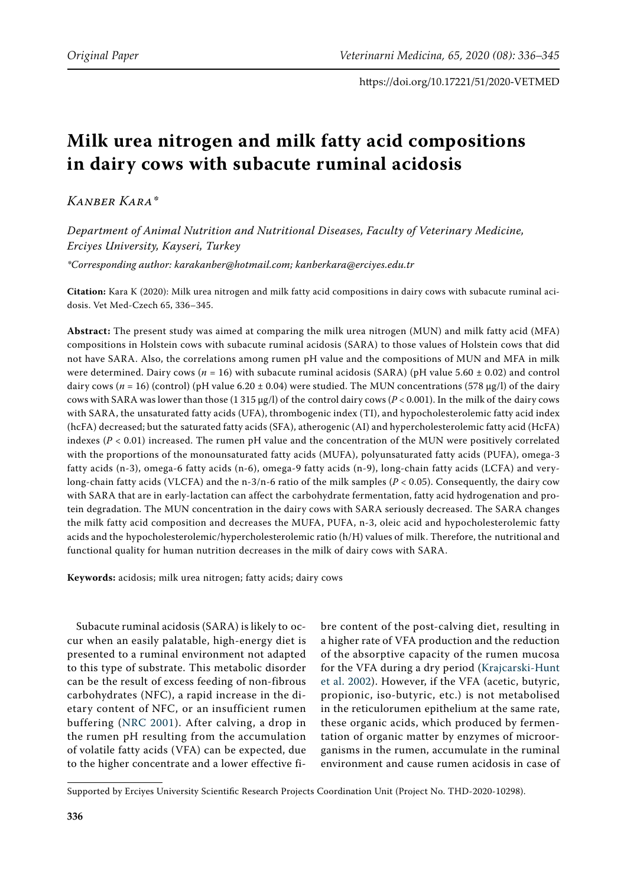# **Milk urea nitrogen and milk fatty acid compositions in dairy cows with subacute ruminal acidosis**

*Kanber Kara\**

*Department of Animal Nutrition and Nutritional Diseases, Faculty of Veterinary Medicine, Erciyes University, Kayseri, Turkey \*Corresponding author: karakanber@hotmail.com; kanberkara@erciyes.edu.tr* 

**Citation:** Kara K (2020): Milk urea nitrogen and milk fatty acid compositions in dairy cows with subacute ruminal acidosis. Vet Med-Czech 65, 336–345.

**Abstract:** The present study was aimed at comparing the milk urea nitrogen (MUN) and milk fatty acid (MFA) compositions in Holstein cows with subacute ruminal acidosis (SARA) to those values of Holstein cows that did not have SARA. Also, the correlations among rumen pH value and the compositions of MUN and MFA in milk were determined. Dairy cows (*n* = 16) with subacute ruminal acidosis (SARA) (pH value 5.60 ± 0.02) and control dairy cows ( $n = 16$ ) (control) (pH value 6.20  $\pm$  0.04) were studied. The MUN concentrations (578 µg/l) of the dairy cows with SARA was lower than those (1 315 µg/l) of the control dairy cows (*P* < 0.001). In the milk of the dairy cows with SARA, the unsaturated fatty acids (UFA), thrombogenic index (TI), and hypocholesterolemic fatty acid index (hcFA) decreased; but the saturated fatty acids (SFA), atherogenic (AI) and hypercholesterolemic fatty acid (HcFA) indexes (*P* < 0.01) increased. The rumen pH value and the concentration of the MUN were positively correlated with the proportions of the monounsaturated fatty acids (MUFA), polyunsaturated fatty acids (PUFA), omega-3 fatty acids (n-3), omega-6 fatty acids (n-6), omega-9 fatty acids (n-9), long-chain fatty acids (LCFA) and verylong-chain fatty acids (VLCFA) and the n-3/n-6 ratio of the milk samples (*P* < 0.05). Consequently, the dairy cow with SARA that are in early-lactation can affect the carbohydrate fermentation, fatty acid hydrogenation and protein degradation. The MUN concentration in the dairy cows with SARA seriously decreased. The SARA changes the milk fatty acid composition and decreases the MUFA, PUFA, n-3, oleic acid and hypocholesterolemic fatty acids and the hypocholesterolemic/hypercholesterolemic ratio (h/H) values of milk. Therefore, the nutritional and functional quality for human nutrition decreases in the milk of dairy cows with SARA.

**Keywords:** acidosis; milk urea nitrogen; fatty acids; dairy cows

Subacute ruminal acidosis (SARA) is likely to occur when an easily palatable, high-energy diet is presented to a ruminal environment not adapted to this type of substrate. This metabolic disorder can be the result of excess feeding of non-fibrous carbohydrates (NFC), a rapid increase in the dietary content of NFC, or an insufficient rumen buffering ([NRC 2001\)](#page-8-0). After calving, a drop in the rumen pH resulting from the accumulation of volatile fatty acids (VFA) can be expected, due to the higher concentrate and a lower effective fi-

bre content of the post-calving diet, resulting in a higher rate of VFA production and the reduction of the absorptive capacity of the rumen mucosa for the VFA during a dry period [\(Krajcarski-Hunt](#page-9-0) [et al. 2002\)](#page-9-0). However, if the VFA (acetic, butyric, propionic, iso-butyric, etc.) is not metabolised in the reticulorumen epithelium at the same rate, these organic acids, which produced by fermentation of organic matter by enzymes of microorganisms in the rumen, accumulate in the ruminal environment and cause rumen acidosis in case of

Supported by Erciyes University Scientific Research Projects Coordination Unit (Project No. THD-2020-10298).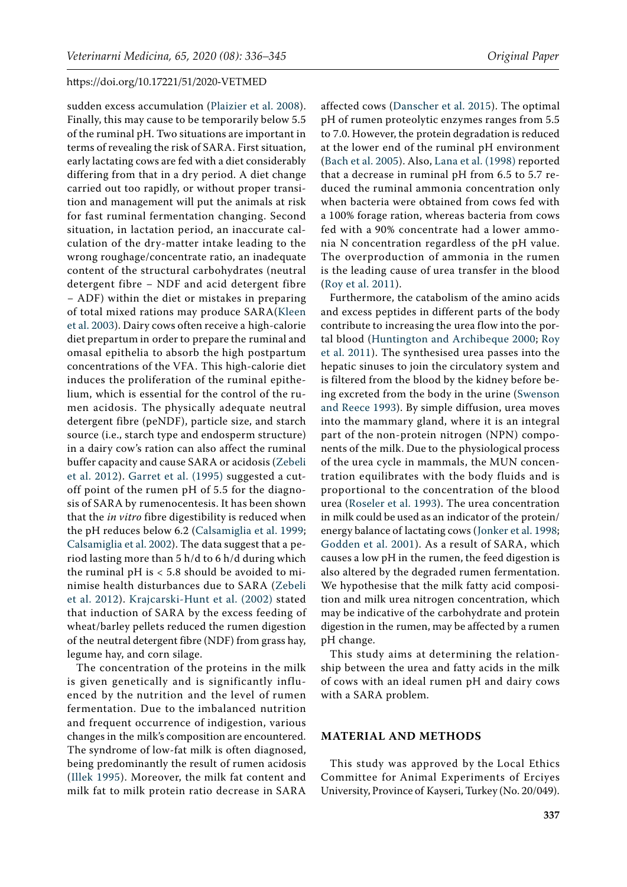sudden excess accumulation ([Plaizier et al. 200](#page-9-1)8). Finally, this may cause to be temporarily below 5.5 of the ruminal pH. Two situations are important in terms of revealing the risk of SARA. First situation, early lactating cows are fed with a diet considerably differing from that in a dry period. A diet change carried out too rapidly, or without proper transition and management will put the animals at risk for fast ruminal fermentation changing. Second situation, in lactation period, an inaccurate calculation of the dry-matter intake leading to the wrong roughage/concentrate ratio, an inadequate content of the structural carbohydrates (neutral detergent fibre − NDF and acid detergent fibre − ADF) within the diet or mistakes in preparing of total mixed rations may produce SARA([Kleen](#page-9-2)  [et al. 2003\)](#page-9-2). Dairy cows often receive a high-calorie diet prepartum in order to prepare the ruminal and omasal epithelia to absorb the high postpartum concentrations of the VFA. This high-calorie diet induces the proliferation of the ruminal epithelium, which is essential for the control of the rumen acidosis. The physically adequate neutral detergent fibre (peNDF), particle size, and starch source (i.e., starch type and endosperm structure) in a dairy cow's ration can also affect the ruminal buffer capacity and cause SARA or acidosis ([Zebeli](#page-9-3)  [et al. 2012](#page-9-3)). [Garret et al. \(1995\)](#page-9-4) suggested a cutoff point of the rumen pH of 5.5 for the diagnosis of SARA by rumenocentesis. It has been shown that the *in vitro* fibre digestibility is reduced when the pH reduces below 6.2 ([Calsamiglia et al. 1999](#page-8-1); [Calsamiglia et al. 2002](#page-8-2)). The data suggest that a period lasting more than 5 h/d to 6 h/d during which the ruminal  $pH$  is  $<$  5.8 should be avoided to minimise health disturbances due to SARA [\(Zebeli](#page-9-3)  [et al. 2012\)](#page-9-3). [Krajcarski-Hunt et al. \(2002\)](#page-9-0) stated that induction of SARA by the excess feeding of wheat/barley pellets reduced the rumen digestion of the neutral detergent fibre (NDF) from grass hay, legume hay, and corn silage.

The concentration of the proteins in the milk is given genetically and is significantly influenced by the nutrition and the level of rumen fermentation. Due to the imbalanced nutrition and frequent occurrence of indigestion, various changes in the milk's composition are encountered. The syndrome of low-fat milk is often diagnosed, being predominantly the result of rumen acidosis ([Illek 1995](#page-9-5)). Moreover, the milk fat content and milk fat to milk protein ratio decrease in SARA

affected cows [\(Danscher et al. 2015](#page-8-3)). The optimal pH of rumen proteolytic enzymes ranges from 5.5 to 7.0. However, the protein degradation is reduced at the lower end of the ruminal pH environment [\(Bach et al. 2005\)](#page-8-4). Also, [Lana et al. \(1998\)](#page-9-6) reported that a decrease in ruminal pH from 6.5 to 5.7 reduced the ruminal ammonia concentration only when bacteria were obtained from cows fed with a 100% forage ration, whereas bacteria from cows fed with a 90% concentrate had a lower ammonia N concentration regardless of the pH value. The overproduction of ammonia in the rumen

is the leading cause of urea transfer in the blood

[\(Roy et al. 2011](#page-9-7)). Furthermore, the catabolism of the amino acids and excess peptides in different parts of the body contribute to increasing the urea flow into the portal blood ([Huntington and Archibeque 2000](#page-9-8); [Roy](#page-9-7) [et al. 2011\)](#page-9-7). The synthesised urea passes into the hepatic sinuses to join the circulatory system and is filtered from the blood by the kidney before being excreted from the body in the urine [\(Swenson](#page-9-9) [and Reece 1993](#page-9-9)). By simple diffusion, urea moves into the mammary gland, where it is an integral part of the non-protein nitrogen (NPN) components of the milk. Due to the physiological process of the urea cycle in mammals, the MUN concentration equilibrates with the body fluids and is proportional to the concentration of the blood urea [\(Roseler et al. 1993](#page-9-10)). The urea concentration in milk could be used as an indicator of the protein/ energy balance of lactating cows ([Jonker et al. 1998](#page-9-11); [Godden et al. 2001](#page-9-12)). As a result of SARA, which causes a low pH in the rumen, the feed digestion is also altered by the degraded rumen fermentation. We hypothesise that the milk fatty acid composition and milk urea nitrogen concentration, which may be indicative of the carbohydrate and protein digestion in the rumen, may be affected by a rumen pH change.

This study aims at determining the relationship between the urea and fatty acids in the milk of cows with an ideal rumen pH and dairy cows with a SARA problem.

## **MATERIAL AND METHODS**

This study was approved by the Local Ethics Committee for Animal Experiments of Erciyes University, Province of Kayseri, Turkey (No. 20/049).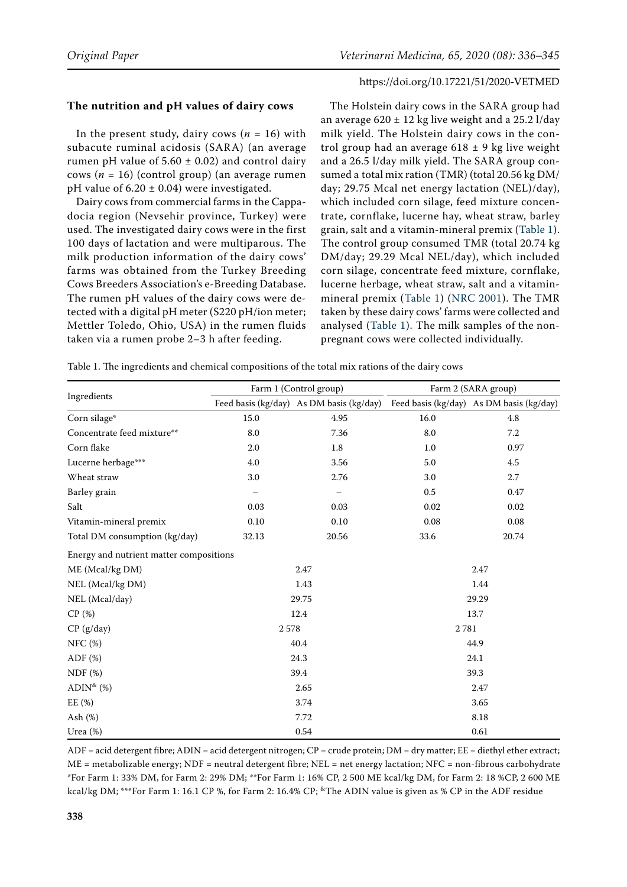# **The nutrition and pH values of dairy cows**

In the present study, dairy cows ( $n = 16$ ) with subacute ruminal acidosis (SARA) (an average rumen pH value of  $5.60 \pm 0.02$ ) and control dairy cows (*n* = 16) (control group) (an average rumen pH value of  $6.20 \pm 0.04$ ) were investigated.

Dairy cows from commercial farms in the Cappadocia region (Nevsehir province, Turkey) were used. The investigated dairy cows were in the first 100 days of lactation and were multiparous. The milk production information of the dairy cows' farms was obtained from the Turkey Breeding Cows Breeders Association's e-Breeding Database. The rumen pH values of the dairy cows were detected with a digital pH meter (S220 pH/ion meter; Mettler Toledo, [Ohio, USA\)](https://www.google.com/search?rlz=1C1OPRB_enTR812TR812&q=Columbus,+Ohio&stick=H4sIAAAAAAAAAOPgE-LSz9U3MC4wystIU-IAsQ2Lc3O1tLKTrfTzi9IT8zKrEksy8_NQOFYZqYkphaWJRSWpRcUAbRM_vkQAAAA&sa=X&ved=2ahUKEwjDntyK5NvfAhWMmIsKHbcAAfAQmxMoATASegQIBBAI) in the rumen fluids taken via a rumen probe 2–3 h after feeding.

The Holstein dairy cows in the SARA group had an average  $620 \pm 12$  kg live weight and a 25.2 l/day milk yield. The Holstein dairy cows in the control group had an average  $618 \pm 9$  kg live weight and a 26.5 l/day milk yield. The SARA group consumed a total mix ration (TMR) (total 20.56 kg DM/ day; 29.75 Mcal net energy lactation (NEL)/day), which included corn silage, feed mixture concentrate, cornflake, lucerne hay, wheat straw, barley grain, salt and a vitamin-mineral premix ([Table 1\)](#page-2-0). The control group consumed TMR (total 20.74 kg DM/day; 29.29 Mcal NEL/day), which included corn silage, concentrate feed mixture, cornflake, lucerne herbage, wheat straw, salt and a vitaminmineral premix ([Table 1](#page-2-0)) ([NRC 2001\)](#page-8-0). The TMR taken by these dairy cows' farms were collected and analysed ([Table 1\)](#page-2-0). The milk samples of the nonpregnant cows were collected individually.

<span id="page-2-0"></span>Table 1. The ingredients and chemical compositions of the total mix rations of the dairy cows

|                                         |       | Farm 1 (Control group)                   | Farm 2 (SARA group) |                                          |  |  |
|-----------------------------------------|-------|------------------------------------------|---------------------|------------------------------------------|--|--|
| Ingredients                             |       | Feed basis (kg/day) As DM basis (kg/day) |                     | Feed basis (kg/day) As DM basis (kg/day) |  |  |
| Corn silage*                            | 15.0  | 4.95                                     | 16.0                | 4.8                                      |  |  |
| Concentrate feed mixture**              | 8.0   | 7.36                                     | 8.0                 | 7.2                                      |  |  |
| Corn flake                              | 2.0   | 1.8                                      | $1.0\,$             | 0.97                                     |  |  |
| Lucerne herbage***                      | 4.0   | 3.56                                     | 5.0                 | 4.5                                      |  |  |
| Wheat straw                             | 3.0   | 2.76                                     | 3.0                 | 2.7                                      |  |  |
| Barley grain                            |       |                                          | $0.5\,$             | 0.47                                     |  |  |
| Salt                                    | 0.03  | 0.03                                     | 0.02                | 0.02                                     |  |  |
| Vitamin-mineral premix                  | 0.10  | 0.10                                     | 0.08                | 0.08                                     |  |  |
| Total DM consumption (kg/day)           | 32.13 | 20.56                                    | 33.6                | 20.74                                    |  |  |
| Energy and nutrient matter compositions |       |                                          |                     |                                          |  |  |
| ME (Mcal/kg DM)                         |       | 2.47                                     |                     | 2.47                                     |  |  |
| NEL (Mcal/kg DM)                        |       | 1.43                                     |                     | 1.44                                     |  |  |
| NEL (Mcal/day)                          |       | 29.75                                    |                     | 29.29                                    |  |  |
| CP(%)                                   |       | 12.4                                     |                     | 13.7                                     |  |  |
| CP (g/day)                              | 2578  |                                          | 2781                |                                          |  |  |
| NFC (%)                                 |       | 40.4                                     |                     | 44.9                                     |  |  |
| ADF $(\%)$                              |       | 24.3                                     |                     | 24.1                                     |  |  |
| NDF(%)                                  |       | 39.4                                     |                     | 39.3                                     |  |  |
| $ADIN^{\&}(\%)$                         |       | 2.65                                     |                     | 2.47                                     |  |  |
| EE(%)                                   |       | 3.74                                     |                     | 3.65                                     |  |  |
| Ash $(\%)$                              |       | 7.72                                     |                     | 8.18                                     |  |  |
| Urea $(\%)$                             |       | 0.54                                     |                     | 0.61                                     |  |  |

 $ADE = acid$  detergent fibre;  $ADIN = acid$  detergent nitrogen;  $CP = crude$  protein;  $DM = dry$  matter;  $EE = diethyl$  ether extract; ME = metabolizable energy; NDF = neutral detergent fibre; NEL = net energy lactation; NFC = non-fibrous carbohydrate \*For Farm 1: 33% DM, for Farm 2: 29% DM; \*\*For Farm 1: 16% CP, 2 500 ME kcal/kg DM, for Farm 2: 18 %CP, 2 600 ME kcal/kg DM; \*\*\*For Farm 1: 16.1 CP %, for Farm 2: 16.4% CP; \*The ADIN value is given as % CP in the ADF residue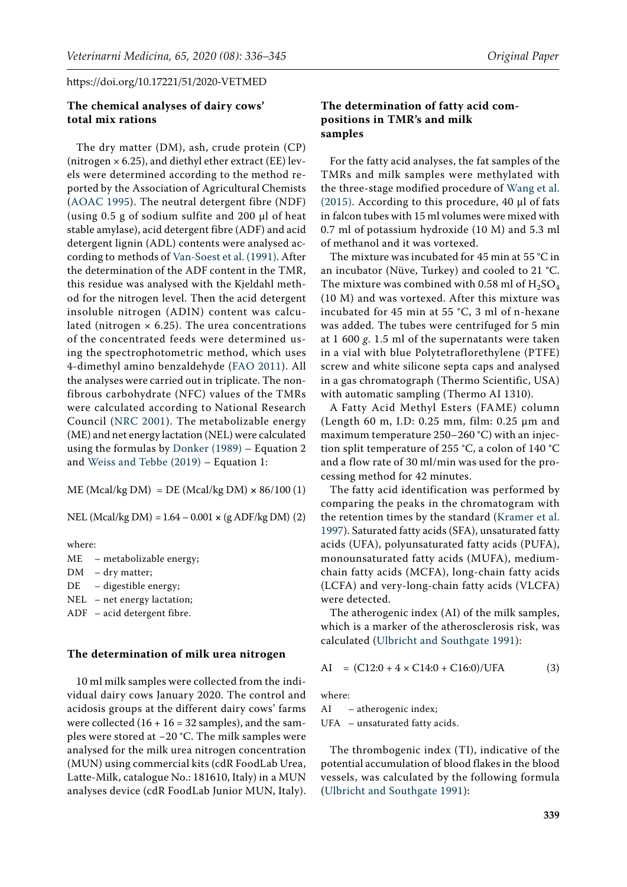## **The chemical analyses of dairy cows' total mix rations**

The dry matter (DM), ash, crude protein (CP) (nitrogen  $\times$  6.25), and diethyl ether extract (EE) levels were determined according to the method reported by the Association of Agricultural Chemists [\(AOAC 1995](#page-8-5)). The neutral detergent fibre (NDF) (using 0.5 g of sodium sulfite and 200 µl of heat stable amylase), acid detergent fibre (ADF) and acid detergent lignin (ADL) contents were analysed according to methods of [Van-Soest et al. \(1991\).](#page-9-13) After the determination of the ADF content in the TMR, this residue was analysed with the Kjeldahl method for the nitrogen level. Then the acid detergent insoluble nitrogen (ADIN) content was calculated (nitrogen  $\times$  6.25). The urea concentrations of the concentrated feeds were determined using the spectrophotometric method, which uses 4-dimethyl amino benzaldehyde ([FAO 2011](#page-8-6)). All the analyses were carried out in triplicate. The nonfibrous carbohydrate (NFC) values of the TMRs were calculated according to National Research Council ([NRC 2001\)](#page-8-0). The metabolizable energy (ME) and net energy lactation (NEL) were calculated using the formulas by [Donker \(1989\)](#page-8-7) – Equation 2 and [Weiss and Tebbe \(2019\) –](#page-9-14) Equation 1:

ME (Mcal/kg DM) = DE (Mcal/kg DM) **×** 86/100 (1)

NEL (Mcal/kg DM) =1.64 – 0.001 **×** (g ADF/kg DM) (2)

where:

- ME metabolizable energy;
- DM dry matter;
- DE digestible energy;
- NEL net energy lactation;
- ADF acid detergent fibre.

## **The determination of milk urea nitrogen**

10 ml milk samples were collected from the individual dairy cows January 2020. The control and acidosis groups at the different dairy cows' farms were collected  $(16 + 16 = 32$  samples), and the samples were stored at −20 °C. The milk samples were analysed for the milk urea nitrogen concentration (MUN) using commercial kits (cdR FoodLab Urea, Latte-Milk, catalogue No.: 181610, Italy) in a MUN analyses device (cdR FoodLab Junior MUN, Italy).

## **The determination of fatty acid compositions in TMR's and milk samples**

For the fatty acid analyses, the fat samples of the TMRs and milk samples were methylated with the three-stage modified procedure of [Wang et al.](#page-9-15) [\(2015\)](#page-9-15). According to this procedure, 40 µl of fats in falcon tubes with 15 ml volumes were mixed with 0.7 ml of potassium hydroxide (10 M) and 5.3 ml of methanol and it was vortexed.

The mixture was incubated for 45 min at 55 °C in an incubator (Nüve, Turkey) and cooled to 21 °C. The mixture was combined with 0.58 ml of  $H_2SO_4$ (10 M) and was vortexed. After this mixture was incubated for 45 min at 55 °C, 3 ml of n-hexane was added. The tubes were centrifuged for 5 min at 1 600 *g*. 1.5 ml of the supernatants were taken in a vial with blue Polytetraflorethylene (PTFE) screw and white silicone septa caps and analysed in a gas chromatograph (Thermo Scientific, USA) with automatic sampling (Thermo AI 1310).

A Fatty Acid Methyl Esters (FAME) column (Length 60 m, I.D: 0.25 mm, film: 0.25 µm and maximum temperature 250–260 °C) with an injection split temperature of 255 °C, a colon of 140 °C and a flow rate of 30 ml/min was used for the processing method for 42 minutes.

The fatty acid identification was performed by comparing the peaks in the chromatogram with the retention times by the standard [\(Kramer et al.](#page-9-16) [1997](#page-9-16)). Saturated fatty acids (SFA), unsaturated fatty acids (UFA), polyunsaturated fatty acids (PUFA), monounsaturated fatty acids (MUFA), mediumchain fatty acids (MCFA), long-chain fatty acids (LCFA) and very-long-chain fatty acids (VLCFA) were detected.

The atherogenic index (AI) of the milk samples, which is a marker of the atherosclerosis risk, was calculated ([Ulbricht and Southgate 1991](#page-9-17)):

$$
AI = (C12:0 + 4 \times C14:0 + C16:0)/UFA
$$
 (3)

where:

AI – atherogenic index; UFA – unsaturated fatty acids.

The thrombogenic index (TI), indicative of the potential accumulation of blood flakes in the blood vessels, was calculated by the following formula [\(Ulbricht and Southgate 1991](#page-9-17)):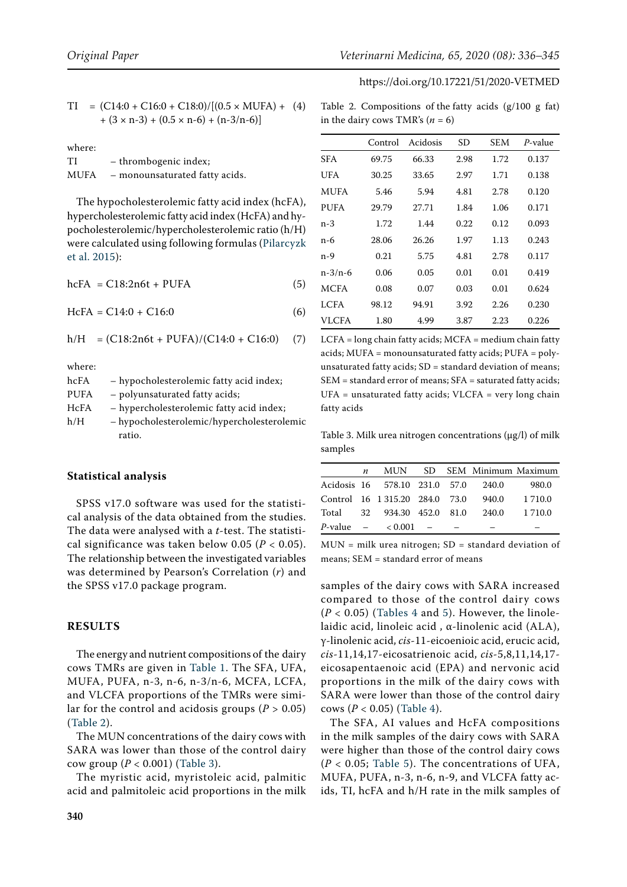$$
TI = (C14:0 + C16:0 + C18:0)/[(0.5 \times MUFA) + (4) + (3 \times n-3) + (0.5 \times n-6) + (n-3/n-6)]
$$

| where: |                                |
|--------|--------------------------------|
| TI     | - thrombogenic index;          |
| MUFA   | - monounsaturated fatty acids. |

The hypocholesterolemic fatty acid index (hcFA), hypercholesterolemic fatty acid index (HcFA) and hypocholesterolemic/hypercholesterolemic ratio (h/H) were calculated using following formulas ([Pilarcyzk](#page-9-18)  [et al. 2015\)](#page-9-18):

 $hcFA = C18:2n6t + PUFA$  (5)

 $HcFA = C14:0 + C16:0$  (6)

$$
h/H = (C18:2n6t + PUFA)/(C14:0 + C16:0) \quad (7)
$$

where:

| hcFA        | - hypocholesterolemic fatty acid index;    |
|-------------|--------------------------------------------|
| <b>PUFA</b> | - polyunsaturated fatty acids;             |
| HcFA        | - hypercholesterolemic fatty acid index;   |
| h/H         | - hypocholesterolemic/hypercholesterolemic |
|             | ratio.                                     |

#### **Statistical analysis**

SPSS v17.0 software was used for the statistical analysis of the data obtained from the studies. The data were analysed with a *t*-test. The statistical significance was taken below 0.05 (*P* < 0.05). The relationship between the investigated variables was determined by Pearson's Correlation (*r*) and the SPSS v17.0 package program.

## **RESULTS**

The energy and nutrient compositions of the dairy cows TMRs are given in [Table 1](#page-2-0). The SFA, UFA, MUFA, PUFA, n-3, n-6, n-3/n-6, MCFA, LCFA, and VLCFA proportions of the TMRs were similar for the control and acidosis groups  $(P > 0.05)$ ([Table 2\)](#page-4-0).

The MUN concentrations of the dairy cows with SARA was lower than those of the control dairy cow group (*P* < 0.001) ([Table 3\)](#page-4-1).

The myristic acid, myristoleic acid, palmitic acid and palmitoleic acid proportions in the milk

<span id="page-4-0"></span>

|  | Table 2. Compositions of the fatty acids $(g/100 g fat)$ |  |  |  |
|--|----------------------------------------------------------|--|--|--|
|  | in the dairy cows TMR's $(n = 6)$                        |  |  |  |

|               | Control | Acidosis | SD   | <b>SEM</b> | P-value |
|---------------|---------|----------|------|------------|---------|
| <b>SFA</b>    | 69.75   | 66.33    | 2.98 | 1.72       | 0.137   |
| UFA           | 30.25   | 33.65    | 2.97 | 1.71       | 0.138   |
| MUFA          | 5.46    | 5.94     | 4.81 | 2.78       | 0.120   |
| <b>PUFA</b>   | 29.79   | 27.71    | 1.84 | 1.06       | 0.171   |
| n-3           | 1.72    | 1.44     | 0.22 | 0.12       | 0.093   |
| n-6           | 28.06   | 26.26    | 1.97 | 1.13       | 0.243   |
| n-9           | 0.21    | 5.75     | 4.81 | 2.78       | 0.117   |
| $n - 3/n - 6$ | 0.06    | 0.05     | 0.01 | 0.01       | 0.419   |
| <b>MCFA</b>   | 0.08    | 0.07     | 0.03 | 0.01       | 0.624   |
| LCFA          | 98.12   | 94.91    | 3.92 | 2.26       | 0.230   |
| <b>VLCFA</b>  | 1.80    | 4.99     | 3.87 | 2.23       | 0.226   |

LCFA = long chain fatty acids; MCFA = medium chain fatty acids; MUFA = monounsaturated fatty acids; PUFA = polyunsaturated fatty acids; SD = standard deviation of means; SEM = standard error of means; SFA = saturated fatty acids; UFA = unsaturated fatty acids; VLCFA = very long chain fatty acids

<span id="page-4-1"></span>Table 3. Milk urea nitrogen concentrations  $(\mu g/l)$  of milk samples

| п |                                     |  |       | MUN SD SEM Minimum Maximum |
|---|-------------------------------------|--|-------|----------------------------|
|   | Acidosis 16 578.10 231.0 57.0 240.0 |  |       | 980.0                      |
|   | Control 16 1 315.20 284.0 73.0      |  | 940.0 | 1 7 1 0 .0                 |
|   | Total 32 934.30 452.0 81.0          |  | 240.0 | 1 710.0                    |
|   | <i>P</i> -value $-$ < 0.001 $-$     |  |       |                            |

MUN = milk urea nitrogen; SD = standard deviation of means; SEM = standard error of means

samples of the dairy cows with SARA increased compared to those of the control dairy cows  $(P < 0.05)$  $(P < 0.05)$  $(P < 0.05)$  ([Tables 4](#page-5-0) and 5). However, the linolelaidic acid, linoleic acid , α-linolenic acid (ALA), γ-linolenic acid, *cis*-11-eicoenioic acid, erucic acid, *cis*-11,14,17-eicosatrienoic acid, *cis*-5,8,11,14,17 eicosapentaenoic acid (EPA) and nervonic acid proportions in the milk of the dairy cows with SARA were lower than those of the control dairy cows (*P* < 0.05) ([Table 4\)](#page-5-0).

The SFA, AI values and HcFA compositions in the milk samples of the dairy cows with SARA were higher than those of the control dairy cows (*P* < 0.05; [Table 5\)](#page-6-0). The concentrations of UFA, MUFA, PUFA, n-3, n-6, n-9, and VLCFA fatty acids, TI, hcFA and h/H rate in the milk samples of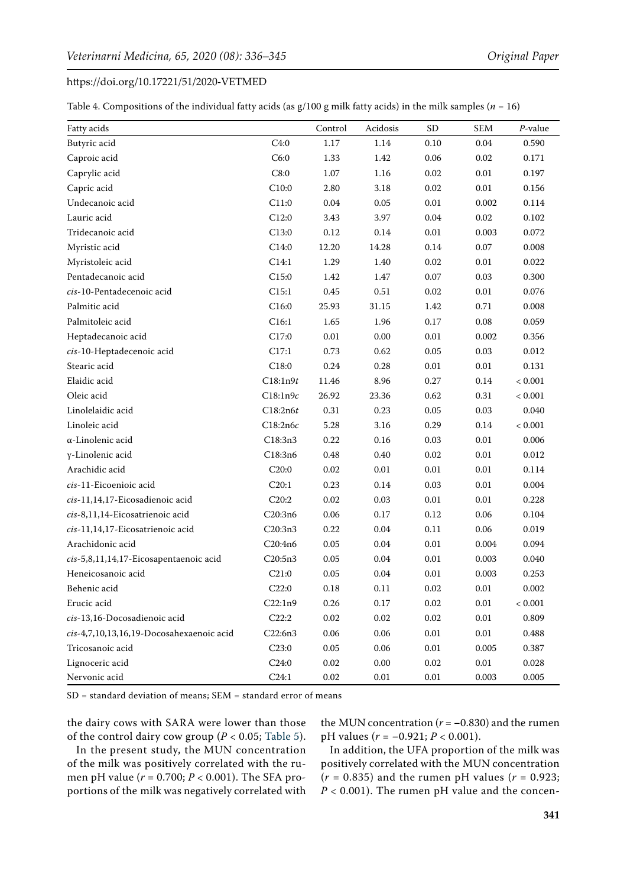<span id="page-5-0"></span>Table 4. Compositions of the individual fatty acids (as  $g/100$  g milk fatty acids) in the milk samples ( $n = 16$ )

| Fatty acids                              |          | Control  | Acidosis | <b>SD</b> | <b>SEM</b> | P-value |
|------------------------------------------|----------|----------|----------|-----------|------------|---------|
| Butyric acid                             | C4:0     | 1.17     | 1.14     | 0.10      | 0.04       | 0.590   |
| Caproic acid                             | C6:0     | 1.33     | 1.42     | 0.06      | 0.02       | 0.171   |
| Caprylic acid                            | C8:0     | 1.07     | 1.16     | 0.02      | $0.01\,$   | 0.197   |
| Capric acid                              | C10:0    | 2.80     | 3.18     | 0.02      | 0.01       | 0.156   |
| Undecanoic acid                          | C11:0    | 0.04     | 0.05     | 0.01      | 0.002      | 0.114   |
| Lauric acid                              | C12:0    | 3.43     | 3.97     | 0.04      | 0.02       | 0.102   |
| Tridecanoic acid                         | C13:0    | 0.12     | 0.14     | 0.01      | 0.003      | 0.072   |
| Myristic acid                            | C14:0    | 12.20    | 14.28    | 0.14      | 0.07       | 0.008   |
| Myristoleic acid                         | C14:1    | 1.29     | 1.40     | 0.02      | $0.01\,$   | 0.022   |
| Pentadecanoic acid                       | C15:0    | 1.42     | 1.47     | 0.07      | 0.03       | 0.300   |
| cis-10-Pentadecenoic acid                | C15:1    | 0.45     | $0.51\,$ | 0.02      | 0.01       | 0.076   |
| Palmitic acid                            | C16:0    | 25.93    | 31.15    | 1.42      | 0.71       | 0.008   |
| Palmitoleic acid                         | C16:1    | 1.65     | 1.96     | 0.17      | 0.08       | 0.059   |
| Heptadecanoic acid                       | C17:0    | 0.01     | 0.00     | 0.01      | 0.002      | 0.356   |
| cis-10-Heptadecenoic acid                | C17:1    | 0.73     | 0.62     | 0.05      | 0.03       | 0.012   |
| Stearic acid                             | C18:0    | 0.24     | 0.28     | 0.01      | 0.01       | 0.131   |
| Elaidic acid                             | C18:1n9t | 11.46    | 8.96     | 0.27      | 0.14       | < 0.001 |
| Oleic acid                               | C18:1n9c | 26.92    | 23.36    | 0.62      | 0.31       | < 0.001 |
| Linolelaidic acid                        | C18:2n6t | 0.31     | 0.23     | 0.05      | 0.03       | 0.040   |
| Linoleic acid                            | C18:2n6c | 5.28     | 3.16     | 0.29      | 0.14       | < 0.001 |
| α-Linolenic acid                         | C18:3n3  | 0.22     | 0.16     | 0.03      | $0.01\,$   | 0.006   |
| γ-Linolenic acid                         | C18:3n6  | 0.48     | 0.40     | 0.02      | 0.01       | 0.012   |
| Arachidic acid                           | C20:0    | 0.02     | 0.01     | 0.01      | 0.01       | 0.114   |
| cis-11-Eicoenioic acid                   | C20:1    | 0.23     | 0.14     | 0.03      | 0.01       | 0.004   |
| cis-11,14,17-Eicosadienoic acid          | C20:2    | 0.02     | 0.03     | 0.01      | 0.01       | 0.228   |
| cis-8,11,14-Eicosatrienoic acid          | C20:3n6  | 0.06     | 0.17     | 0.12      | 0.06       | 0.104   |
| cis-11,14,17-Eicosatrienoic acid         | C20:3n3  | 0.22     | 0.04     | 0.11      | 0.06       | 0.019   |
| Arachidonic acid                         | C20:4n6  | 0.05     | 0.04     | 0.01      | 0.004      | 0.094   |
| cis-5,8,11,14,17-Eicosapentaenoic acid   | C20:5n3  | 0.05     | 0.04     | 0.01      | 0.003      | 0.040   |
| Heneicosanoic acid                       | C21:0    | 0.05     | 0.04     | 0.01      | 0.003      | 0.253   |
| Behenic acid                             | C22:0    | 0.18     | 0.11     | 0.02      | 0.01       | 0.002   |
| Erucic acid                              | C22:1n9  | 0.26     | 0.17     | 0.02      | 0.01       | < 0.001 |
| cis-13,16-Docosadienoic acid             | C22:2    | $0.02\,$ | 0.02     | 0.02      | 0.01       | 0.809   |
| cis-4,7,10,13,16,19-Docosahexaenoic acid | C22:6n3  | 0.06     | 0.06     | $0.01\,$  | $0.01\,$   | 0.488   |
| Tricosanoic acid                         | C23:0    | 0.05     | 0.06     | $0.01\,$  | 0.005      | 0.387   |
| Lignoceric acid                          | C24:0    | $0.02\,$ | 0.00     | 0.02      | $0.01\,$   | 0.028   |
| Nervonic acid                            | C24:1    | $0.02\,$ | $0.01\,$ | $0.01\,$  | 0.003      | 0.005   |

SD = standard deviation of means; SEM = standard error of means

the dairy cows with SARA were lower than those of the control dairy cow group ( $P < 0.05$ ; [Table 5\)](#page-6-0).

In the present study, the MUN concentration of the milk was positively correlated with the rumen pH value (*r* = 0.700; *P* < 0.001). The SFA proportions of the milk was negatively correlated with the MUN concentration  $(r = -0.830)$  and the rumen pH values (*r* = **−**0.921; *P* < 0.001).

In addition, the UFA proportion of the milk was positively correlated with the MUN concentration  $(r = 0.835)$  and the rumen pH values  $(r = 0.923;$  $P < 0.001$ ). The rumen pH value and the concen-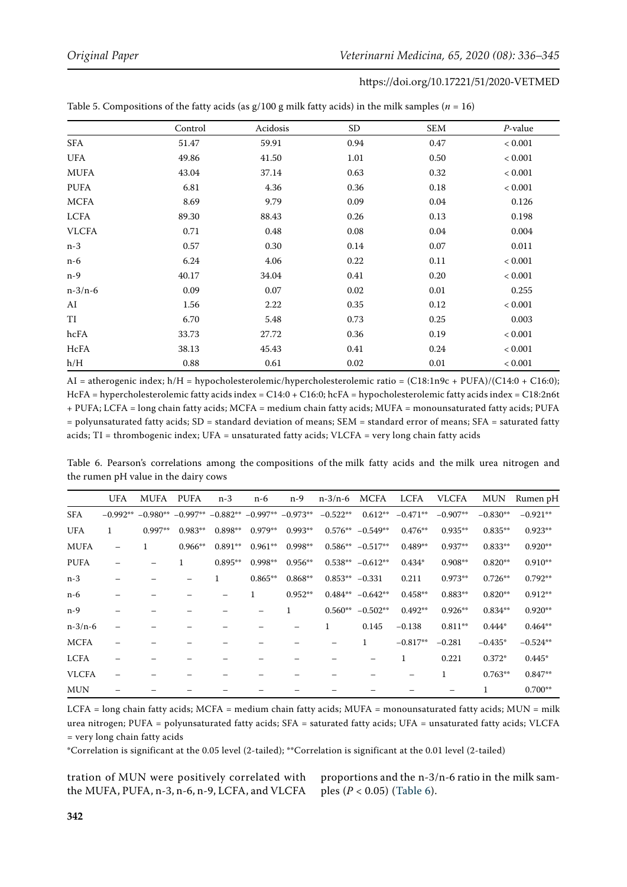|              | Control | Acidosis | SD <sub></sub> | SEM  | $P$ -value  |
|--------------|---------|----------|----------------|------|-------------|
| SFA          | 51.47   | 59.91    | 0.94           | 0.47 | ${}< 0.001$ |
| <b>UFA</b>   | 49.86   | 41.50    | 1.01           | 0.50 | < 0.001     |
| <b>MUFA</b>  | 43.04   | 37.14    | 0.63           | 0.32 | < 0.001     |
| <b>PUFA</b>  | 6.81    | 4.36     | 0.36           | 0.18 | < 0.001     |
| <b>MCFA</b>  | 8.69    | 9.79     | 0.09           | 0.04 | 0.126       |
| LCFA         | 89.30   | 88.43    | 0.26           | 0.13 | 0.198       |
| <b>VLCFA</b> | 0.71    | 0.48     | 0.08           | 0.04 | 0.004       |
| $n-3$        | 0.57    | 0.30     | 0.14           | 0.07 | 0.011       |
| $n-6$        | 6.24    | 4.06     | 0.22           | 0.11 | < 0.001     |
| $n-9$        | 40.17   | 34.04    | 0.41           | 0.20 | < 0.001     |
| $n-3/n-6$    | 0.09    | 0.07     | 0.02           | 0.01 | 0.255       |
| AI           | 1.56    | 2.22     | 0.35           | 0.12 | < 0.001     |
| TI           | 6.70    | 5.48     | 0.73           | 0.25 | 0.003       |
| hcFA         | 33.73   | 27.72    | 0.36           | 0.19 | < 0.001     |
| HcFA         | 38.13   | 45.43    | 0.41           | 0.24 | < 0.001     |
| h/H          | 0.88    | 0.61     | 0.02           | 0.01 | < 0.001     |

<span id="page-6-0"></span>Table 5. Compositions of the fatty acids (as  $g/100$  g milk fatty acids) in the milk samples ( $n = 16$ )

AI = atherogenic index; h/H = hypocholesterolemic/hypercholesterolemic ratio = (C18:1n9c + PUFA)/(C14:0 + C16:0); HcFA = hypercholesterolemic fatty acids index = C14:0 + C16:0; hcFA = hypocholesterolemic fatty acids index = C18:2n6t + PUFA; LCFA = long chain fatty acids; MCFA = medium chain fatty acids; MUFA = monounsaturated fatty acids; PUFA = polyunsaturated fatty acids; SD = standard deviation of means; SEM = standard error of means; SFA = saturated fatty acids; TI = thrombogenic index; UFA = unsaturated fatty acids; VLCFA = very long chain fatty acids

<span id="page-6-1"></span>Table 6. Pearson's correlations among the compositions of the milk fatty acids and the milk urea nitrogen and the rumen pH value in the dairy cows

|              | <b>UFA</b>   | <b>MUFA</b> | <b>PUFA</b> | $n-3$      | $n-6$      | n-9        | $n-3/n-6$        | <b>MCFA</b> | <b>LCFA</b> | <b>VLCFA</b> | <b>MUN</b> | Rumen pH   |
|--------------|--------------|-------------|-------------|------------|------------|------------|------------------|-------------|-------------|--------------|------------|------------|
| <b>SFA</b>   | $-0.992**$   | $-0.980**$  | $-0.997**$  | $-0.882**$ | $-0.997**$ | $-0.973**$ | $-0.522**$       | $0.612**$   | $-0.471**$  | $-0.907**$   | $-0.830**$ | $-0.921**$ |
| <b>UFA</b>   | $\mathbf{1}$ | 0.997**     | $0.983**$   | $0.898**$  | $0.979**$  | $0.993**$  | $0.576**$        | $-0.549**$  | $0.476**$   | $0.935**$    | $0.835**$  | $0.923**$  |
| <b>MUFA</b>  |              |             | $0.966**$   | $0.891**$  | $0.961**$  | $0.998**$  | $0.586**$        | $-0.517**$  | $0.489**$   | $0.937**$    | $0.833**$  | $0.920**$  |
| <b>PUFA</b>  |              |             |             | $0.895**$  | $0.998**$  | $0.956**$  | $0.538**$        | $-0.612**$  | $0.434*$    | $0.908**$    | $0.820**$  | $0.910**$  |
| $n-3$        |              |             |             | 1          | $0.865**$  | $0.868**$  | $0.853** -0.331$ |             | 0.211       | $0.973**$    | $0.726**$  | $0.792**$  |
| $n-6$        |              |             |             |            | 1          | $0.952**$  | $0.484**$        | $-0.642**$  | $0.458**$   | $0.883**$    | $0.820**$  | $0.912**$  |
| $n-9$        |              |             |             |            |            |            | $0.560**$        | $-0.502**$  | $0.492**$   | $0.926**$    | $0.834**$  | $0.920**$  |
| $n-3/n-6$    |              |             |             |            |            |            |                  | 0.145       | $-0.138$    | $0.811**$    | $0.444*$   | $0.464**$  |
| <b>MCFA</b>  |              |             |             |            |            |            |                  | 1           | $-0.817**$  | $-0.281$     | $-0.435*$  | $-0.524**$ |
| LCFA         |              |             |             |            |            |            |                  |             |             | 0.221        | $0.372*$   | $0.445*$   |
| <b>VLCFA</b> |              |             |             |            |            |            |                  |             |             | 1            | $0.763**$  | $0.847**$  |
| <b>MUN</b>   |              |             |             |            |            |            |                  |             |             |              |            | $0.700**$  |

LCFA = long chain fatty acids; MCFA = medium chain fatty acids; MUFA = monounsaturated fatty acids; MUN = milk urea nitrogen; PUFA = polyunsaturated fatty acids; SFA = saturated fatty acids; UFA = unsaturated fatty acids; VLCFA = very long chain fatty acids

\*Correlation is significant at the 0.05 level (2-tailed); \*\*Correlation is significant at the 0.01 level (2-tailed)

tration of MUN were positively correlated with the MUFA, PUFA, n-3, n-6, n-9, LCFA, and VLCFA proportions and the n-3/n-6 ratio in the milk samples (*P* < 0.05) ([Table 6](#page-6-1)).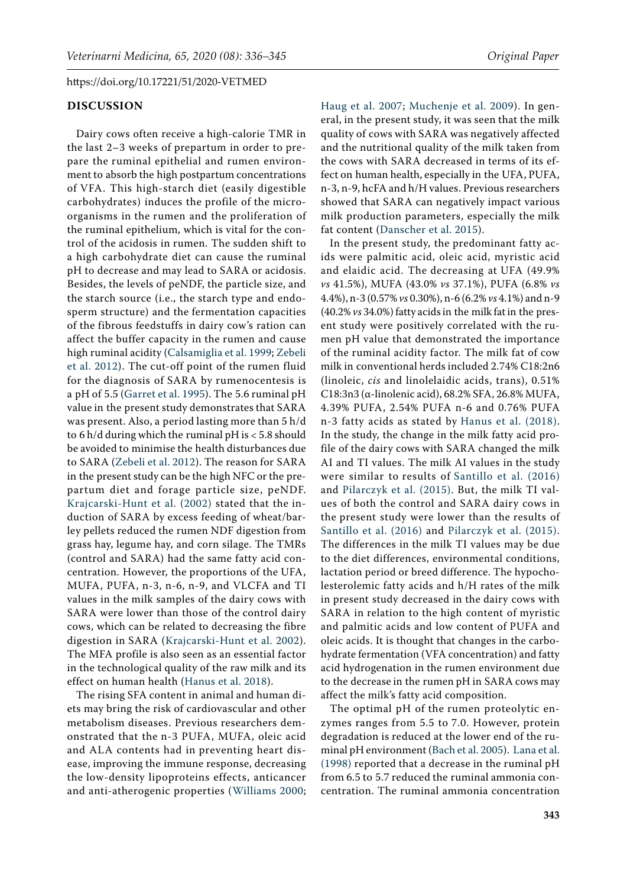#### **DISCUSSION**

Dairy cows often receive a high-calorie TMR in the last 2–3 weeks of prepartum in order to prepare the ruminal epithelial and rumen environment to absorb the high postpartum concentrations of VFA. This high-starch diet (easily digestible carbohydrates) induces the profile of the microorganisms in the rumen and the proliferation of the ruminal epithelium, which is vital for the control of the acidosis in rumen. The sudden shift to a high carbohydrate diet can cause the ruminal pH to decrease and may lead to SARA or acidosis. Besides, the levels of peNDF, the particle size, and the starch source (i.e., the starch type and endosperm structure) and the fermentation capacities of the fibrous feedstuffs in dairy cow's ration can affect the buffer capacity in the rumen and cause high ruminal acidity [\(Calsamiglia et al. 1999](#page-8-1); [Zebeli](#page-9-3)  [et al. 2012](#page-9-3)). The cut-off point of the rumen fluid for the diagnosis of SARA by rumenocentesis is a pH of 5.5 ([Garret et al. 1995\)](#page-9-4). The 5.6 ruminal pH value in the present study demonstrates that SARA was present. Also, a period lasting more than 5 h/d to 6 h/d during which the ruminal pH is < 5.8 should be avoided to minimise the health disturbances due to SARA [\(Zebeli et al. 2012\)](#page-9-3). The reason for SARA in the present study can be the high NFC or the prepartum diet and forage particle size, peNDF. [Krajcarski-Hunt et al. \(2002\)](#page-9-0) stated that the induction of SARA by excess feeding of wheat/barley pellets reduced the rumen NDF digestion from grass hay, legume hay, and corn silage. The TMRs (control and SARA) had the same fatty acid concentration. However, the proportions of the UFA, MUFA, PUFA, n-3, n-6, n-9, and VLCFA and TI values in the milk samples of the dairy cows with SARA were lower than those of the control dairy cows, which can be related to decreasing the fibre digestion in SARA ([Krajcarski-Hunt et al. 2002](#page-9-0)). The MFA profile is also seen as an essential factor in the technological quality of the raw milk and its effect on human health [\(Hanus et al. 2018\)](#page-9-19).

The rising SFA content in animal and human diets may bring the risk of cardiovascular and other metabolism diseases. Previous researchers demonstrated that the n-3 PUFA, MUFA, oleic acid and ALA contents had in preventing heart disease, improving the immune response, decreasing the low-density lipoproteins effects, anticancer and anti-atherogenic properties ([Williams 2000](#page-9-20);

[Haug et al. 2007](#page-9-21); [Muchenje et al. 2009\)](#page-9-22). In general, in the present study, it was seen that the milk quality of cows with SARA was negatively affected and the nutritional quality of the milk taken from the cows with SARA decreased in terms of its effect on human health, especially in the UFA, PUFA, n-3, n-9, hcFA and h/H values. Previous researchers showed that SARA can negatively impact various milk production parameters, especially the milk fat content ([Danscher et al. 2015\)](#page-8-3).

In the present study, the predominant fatty acids were palmitic acid, oleic acid, myristic acid and elaidic acid. The decreasing at UFA (49.9% *vs* 41.5%), MUFA (43.0% *vs* 37.1%), PUFA (6.8% *vs* 4.4%), n-3 (0.57% *vs* 0.30%), n-6 (6.2% *vs* 4.1%) and n-9 (40.2% *vs* 34.0%) fatty acids in the milk fat in the present study were positively correlated with the rumen pH value that demonstrated the importance of the ruminal acidity factor. The milk fat of cow milk in conventional herds included 2.74% C18:2n6 (linoleic, *cis* and linolelaidic acids, trans), 0.51% C18:3n3 (α-linolenic acid), 68.2% SFA, 26.8% MUFA, 4.39% PUFA, 2.54% PUFA n-6 and 0.76% PUFA n-3 fatty acids as stated by [Hanus et al. \(2018\)](#page-9-19). In the study, the change in the milk fatty acid profile of the dairy cows with SARA changed the milk AI and TI values. The milk AI values in the study were similar to results of [Santillo et al. \(2016\)](#page-9-23) and [Pilarczyk et al. \(2015\)](#page-9-18). But, the milk TI values of both the control and SARA dairy cows in the present study were lower than the results of [Santillo et al. \(2016\)](#page-9-23) and [Pilarczyk et al. \(2015\)](#page-9-18). The differences in the milk TI values may be due to the diet differences, environmental conditions, lactation period or breed difference. The hypocholesterolemic fatty acids and h/H rates of the milk in present study decreased in the dairy cows with SARA in relation to the high content of myristic and palmitic acids and low content of PUFA and oleic acids. It is thought that changes in the carbohydrate fermentation (VFA concentration) and fatty acid hydrogenation in the rumen environment due to the decrease in the rumen pH in SARA cows may affect the milk's fatty acid composition.

The optimal pH of the rumen proteolytic enzymes ranges from 5.5 to 7.0. However, protein degradation is reduced at the lower end of the ruminal pH environment [\(Bach et al. 2005\)](#page-8-4).  [Lana et al.](#page-9-6) [\(1998\)](#page-9-6) reported that a decrease in the ruminal pH from 6.5 to 5.7 reduced the ruminal ammonia concentration. The ruminal ammonia concentration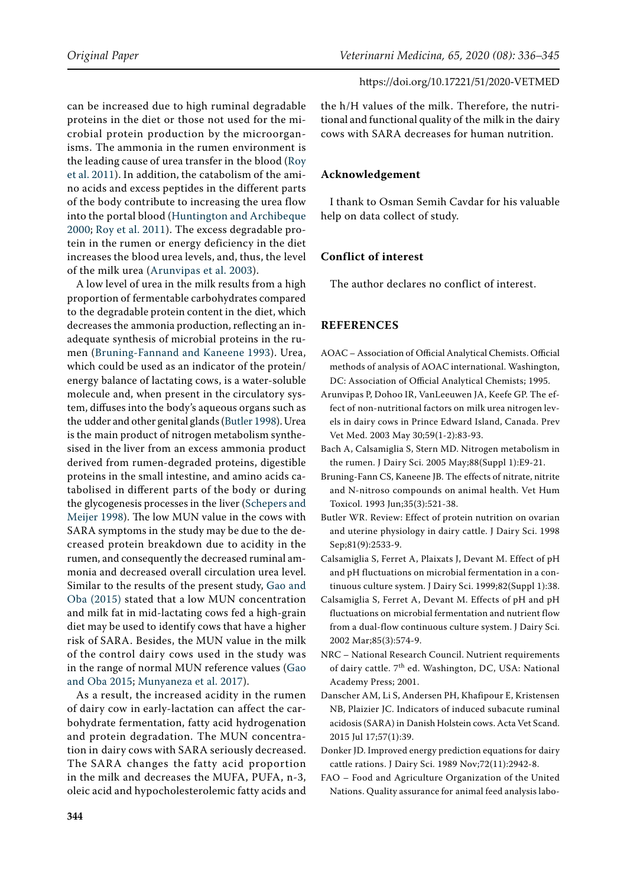can be increased due to high ruminal degradable proteins in the diet or those not used for the microbial protein production by the microorganisms. The ammonia in the rumen environment is the leading cause of urea transfer in the blood [\(Roy](#page-9-7)  [et al. 2011\)](#page-9-7). In addition, the catabolism of the amino acids and excess peptides in the different parts of the body contribute to increasing the urea flow into the portal blood ([Huntington and Archibeque](#page-9-8)  [2000;](#page-9-8) [Roy et al. 2011](#page-9-7)). The excess degradable protein in the rumen or energy deficiency in the diet increases the blood urea levels, and, thus, the level of the milk urea ([Arunvipas et al. 2003\)](#page-8-8).

A low level of urea in the milk results from a high proportion of fermentable carbohydrates compared to the degradable protein content in the diet, which decreases the ammonia production, reflecting an inadequate synthesis of microbial proteins in the rumen ([Bruning-Fannand and Kaneene 1993\)](#page-8-9). Urea, which could be used as an indicator of the protein/ energy balance of lactating cows, is a water-soluble molecule and, when present in the circulatory system, diffuses into the body's aqueous organs such as the udder and other genital glands [\(Butler 1998](#page-8-10)). Urea is the main product of nitrogen metabolism synthesised in the liver from an excess ammonia product derived from rumen-degraded proteins, digestible proteins in the small intestine, and amino acids catabolised in different parts of the body or during the glycogenesis processes in the liver ([Schepers and](#page-9-24)  [Meijer 1998](#page-9-24)). The low MUN value in the cows with SARA symptoms in the study may be due to the decreased protein breakdown due to acidity in the rumen, and consequently the decreased ruminal ammonia and decreased overall circulation urea level. Similar to the results of the present study, [Gao and](#page-9-25) [Oba \(2015\)](#page-9-25) stated that a low MUN concentration and milk fat in mid-lactating cows fed a high-grain diet may be used to identify cows that have a higher risk of SARA. Besides, the MUN value in the milk of the control dairy cows used in the study was in the range of normal MUN reference values [\(Gao](#page-9-25)  [and Oba 2015;](#page-9-25) [Munyaneza et al. 2017\)](#page-9-26).

As a result, the increased acidity in the rumen of dairy cow in early-lactation can affect the carbohydrate fermentation, fatty acid hydrogenation and protein degradation. The MUN concentration in dairy cows with SARA seriously decreased. The SARA changes the fatty acid proportion in the milk and decreases the MUFA, PUFA, n-3, oleic acid and hypocholesterolemic fatty acids and the h/H values of the milk. Therefore, the nutritional and functional quality of the milk in the dairy cows with SARA decreases for human nutrition.

## **Acknowledgement**

I thank to Osman Semih Cavdar for his valuable help on data collect of study.

## **Conflict of interest**

The author declares no conflict of interest.

### **REFERENCES**

- <span id="page-8-5"></span>AOAC – Association of Official Analytical Chemists. Official methods of analysis of AOAC international. Washington, DC: Association of Official Analytical Chemists; 1995.
- <span id="page-8-8"></span>Arunvipas P, Dohoo IR, VanLeeuwen JA, Keefe GP. The effect of non-nutritional factors on milk urea nitrogen levels in dairy cows in Prince Edward Island, Canada. Prev Vet Med. 2003 May 30;59(1-2):83-93.
- <span id="page-8-4"></span>Bach A, Calsamiglia S, Stern MD. Nitrogen metabolism in the rumen. J Dairy Sci. 2005 May;88(Suppl 1):E9-21.
- <span id="page-8-9"></span>Bruning-Fann CS, Kaneene JB. The effects of nitrate, nitrite and N-nitroso compounds on animal health. Vet Hum Toxicol. 1993 Jun;35(3):521-38.
- <span id="page-8-10"></span>Butler WR. Review: Effect of protein nutrition on ovarian and uterine physiology in dairy cattle. J Dairy Sci. 1998 Sep;81(9):2533-9.
- <span id="page-8-1"></span>Calsamiglia S, Ferret A, Plaixats J, Devant M. Effect of pH and pH fluctuations on microbial fermentation in a continuous culture system. J Dairy Sci. 1999;82(Suppl 1):38.
- <span id="page-8-2"></span>Calsamiglia S, Ferret A, Devant M. Effects of pH and pH fluctuations on microbial fermentation and nutrient flow from a dual-flow continuous culture system. J Dairy Sci. 2002 Mar;85(3):574-9.
- <span id="page-8-0"></span>NRC – National Research Council. Nutrient requirements of dairy cattle. 7<sup>th</sup> ed. Washington, DC, USA: National Academy Press; 2001.
- <span id="page-8-3"></span>Danscher AM, Li S, Andersen PH, Khafipour E, Kristensen NB, Plaizier JC. Indicators of induced subacute ruminal acidosis (SARA) in Danish Holstein cows. Acta Vet Scand. 2015 Jul 17;57(1):39.
- <span id="page-8-7"></span>Donker JD. Improved energy prediction equations for dairy cattle rations. J Dairy Sci. 1989 Nov;72(11):2942-8.
- <span id="page-8-6"></span>FAO – Food and Agriculture Organization of the United Nations. Quality assurance for animal feed analysis labo-